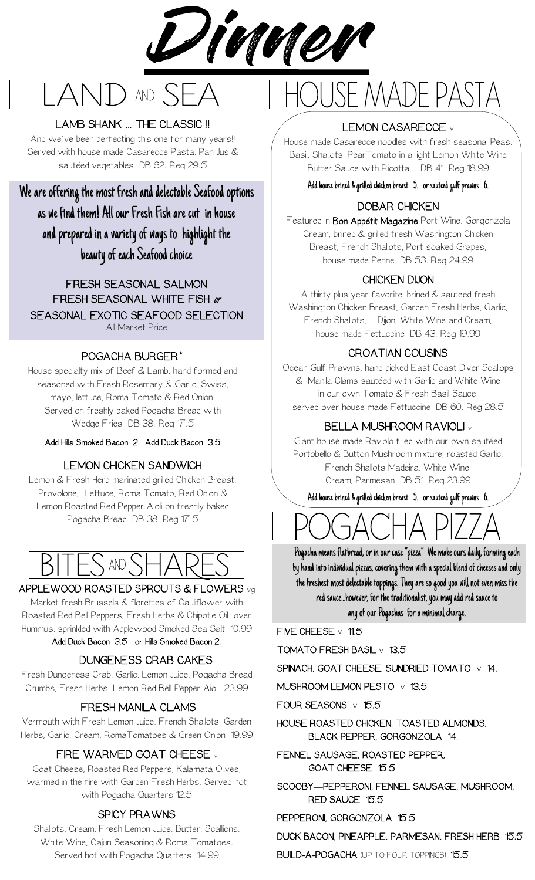



#### LAMB SHANK ... THE CLASSIC !!

And we've been perfecting this one for many years!! Served with house made Casarecce Pasta, Pan Jus & sautéed vegetables DB 62. Reg 29.5

We are offering the most fresh and delectable Seafood options as we find them! All our Fresh Fish are cut in house and prepared in a variety of ways to highlight the beauty of each Seafood choice

FRESH SEASONAL SALMON FRESH SEASONAL WHITE FISH or SEASONAL EXOTIC SEAFOOD SELECTION All Market Price

#### POGACHA BURGER\*

House specialty mix of Beef & Lamb, hand formed and seasoned with Fresh Rosemary & Garlic, Swiss, mayo, lettuce, Roma Tomato & Red Onion. Served on freshly baked Pogacha Bread with Wedge Fries DB 38. Reg 17.5

Add Hills Smoked Bacon 2. Add Duck Bacon 3.5

#### LEMON CHICKEN SANDWICH

Lemon & Fresh Herb marinated grilled Chicken Breast, Provolone, Lettuce, Roma Tomato, Red Onion & Lemon Roasted Red Pepper Aioli on freshly baked Pogacha Bread DB 38. Reg 17.5



#### APPLEWOOD ROASTED SPROUTS & FLOWERS vg

Market fresh Brussels & florettes of Cauliflower with Roasted Red Bell Peppers, Fresh Herbs & Chipotle Oil over Hummus, sprinkled with Applewood Smoked Sea Salt 10.99

#### Add Duck Bacon 3.5 or Hills Smoked Bacon 2.

#### DUNGENESS CRAB CAKES

Fresh Dungeness Crab, Garlic, Lemon Juice, Pogacha Bread Crumbs, Fresh Herbs. Lemon Red Bell Pepper Aioli 23.99

#### FRESH MANILA CLAMS

Vermouth with Fresh Lemon Juice, French Shallots, Garden Herbs, Garlic, Cream, RomaTomatoes & Green Onion 19.99

#### FIRE WARMED GOAT CHEESE

Goat Cheese, Roasted Red Peppers, Kalamata Olives, warmed in the fire with Garden Fresh Herbs. Served hot with Pogacha Quarters 12.5

#### SPICY PRAWNS

Shallots, Cream, Fresh Lemon Juice, Butter, Scallions, White Wine, Cajun Seasoning & Roma Tomatoes. Served hot with Pogacha Quarters 14.99

#### LEMON CASARECCE v

House made Casarecce noodles with fresh seasonal Peas, Basil, Shallots, PearTomato in a light Lemon White Wine Butter Sauce with Ricotta DB 41. Reg 18.99

Add house brined & grilled chicken breast 5. or sauteed gulf prawns 6.

#### DOBAR CHICKEN

Featured in Bon Appétit Magazine Port Wine, Gorgonzola Cream, brined & grilled fresh Washington Chicken Breast, French Shallots, Port soaked Grapes, house made Penne DB 53. Reg 24.99

#### CHICKEN DIJON

A thirty plus year favorite! brined & sauteed fresh Washington Chicken Breast, Garden Fresh Herbs, Garlic, French Shallots, Dijon, White Wine and Cream, house made Fettuccine DB 43. Reg 19.99

#### CROATIAN COUSINS

Ocean Gulf Prawns, hand picked East Coast Diver Scallops & Manila Clams sautéed with Garlic and White Wine in our own Tomato & Fresh Basil Sauce, served over house made Fettuccine DB 60. Reg 28.5

#### BELLA MUSHROOM RAVIOLI <sup>v</sup>

Giant house made Raviolo filled with our own sautéed Portobello & Button Mushroom mixture, roasted Garlic, French Shallots Madeira, White Wine, Cream, Parmesan DB 51. Reg 23.99

Add house brined & grilled chicken breast 5. or sauteed gulf prawns 6.



Pogacha means flatbread, or in our case "pizza" We make ours daily, forming each by hand into individual pizzas, covering them with a special blend of cheeses and only the freshest most delectable toppings. They are so good you will not even miss the red sauce...however, for the traditionalist, you may add red sauce to

any of our Pogachas for a minimal charge.

FIVE CHEESE  $\vee$  11.5

TOMATO FRESH BASIL v 13.5

SPINACH, GOAT CHEESE, SUNDRIED TOMATO  $\vee$  14.

MUSHROOM LEMON PESTO v 13.5

FOUR SEASONS v 15.5

HOUSE ROASTED CHICKEN, TOASTED ALMONDS, BLACK PEPPER, GORGONZOLA 14.

FENNEL SAUSAGE, ROASTED PEPPER, GOAT CHEESE 15.5

SCOOBY—PEPPERONI, FENNEL SAUSAGE, MUSHROOM, RED SAUCE 15.5

PEPPERONI, GORGONZOLA 15.5

#### DUCK BACON, PINEAPPLE, PARMESAN, FRESH HERB 15.5

BUILD-A-POGACHA (UP TO FOUR TOPPINGS) 15.5